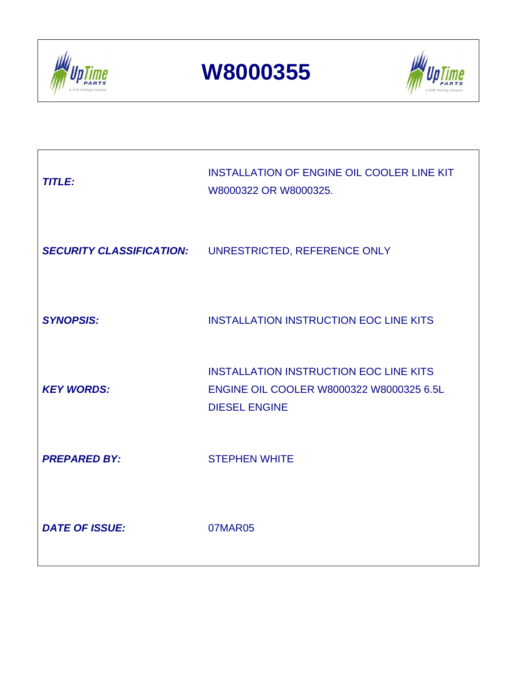

**W8000355**



| <b>TITLE:</b>                   | <b>INSTALLATION OF ENGINE OIL COOLER LINE KIT</b><br>W8000322 OR W8000325.                                        |
|---------------------------------|-------------------------------------------------------------------------------------------------------------------|
| <b>SECURITY CLASSIFICATION:</b> | UNRESTRICTED, REFERENCE ONLY                                                                                      |
| <b>SYNOPSIS:</b>                | <b>INSTALLATION INSTRUCTION EOC LINE KITS</b>                                                                     |
| <b>KEY WORDS:</b>               | <b>INSTALLATION INSTRUCTION EOC LINE KITS</b><br>ENGINE OIL COOLER W8000322 W8000325 6.5L<br><b>DIESEL ENGINE</b> |
| <b>PREPARED BY:</b>             | <b>STEPHEN WHITE</b>                                                                                              |
| <b>DATE OF ISSUE:</b>           | 07MAR05                                                                                                           |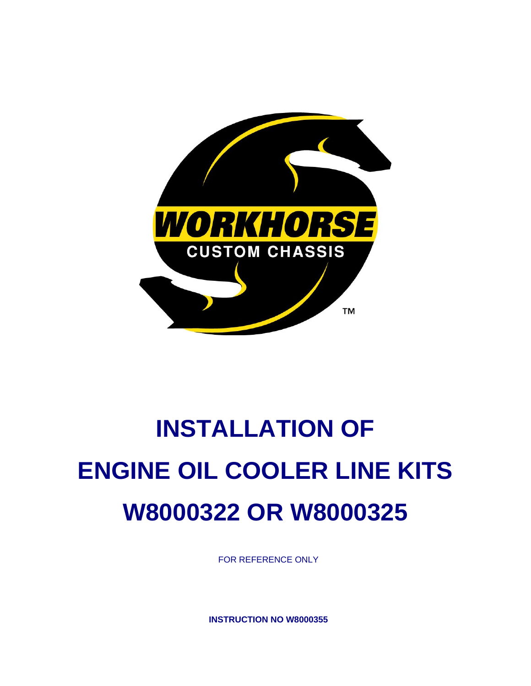

# **INSTALLATION OF ENGINE OIL COOLER LINE KITS W8000322 OR W8000325**

FOR REFERENCE ONLY

**INSTRUCTION NO W8000355**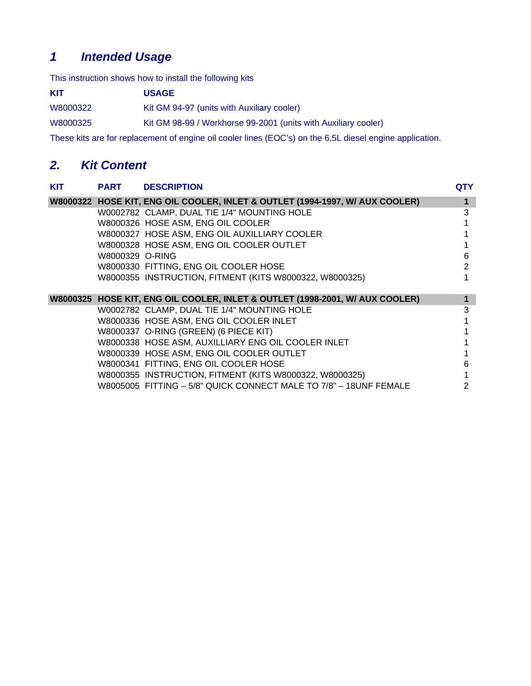# *1 Intended Usage*

This instruction shows how to install the following kits

| KIT      | <b>USAGE</b>                                                   |
|----------|----------------------------------------------------------------|
| W8000322 | Kit GM 94-97 (units with Auxiliary cooler)                     |
| W8000325 | Kit GM 98-99 / Workhorse 99-2001 (units with Auxiliary cooler) |

These kits are for replacement of engine oil cooler lines (EOC's) on the 6,5L diesel engine application.

# *2. Kit Content*

| <b>KIT</b> | <b>PART</b>     | <b>DESCRIPTION</b>                                                           | <b>QTY</b> |
|------------|-----------------|------------------------------------------------------------------------------|------------|
|            |                 | W8000322 HOSE KIT, ENG OIL COOLER, INLET & OUTLET (1994-1997, W/ AUX COOLER) |            |
|            |                 | W0002782 CLAMP, DUAL TIE 1/4" MOUNTING HOLE                                  | 3          |
|            |                 | W8000326 HOSE ASM, ENG OIL COOLER                                            |            |
|            |                 | W8000327 HOSE ASM, ENG OIL AUXILLIARY COOLER                                 |            |
|            |                 | W8000328 HOSE ASM, ENG OIL COOLER OUTLET                                     |            |
|            | W8000329 O-RING |                                                                              | 6          |
|            |                 | W8000330 FITTING, ENG OIL COOLER HOSE                                        | 2          |
|            |                 | W8000355 INSTRUCTION, FITMENT (KITS W8000322, W8000325)                      |            |
|            |                 |                                                                              |            |
|            |                 | W8000325 HOSE KIT, ENG OIL COOLER, INLET & OUTLET (1998-2001, W/ AUX COOLER) |            |
|            |                 | W0002782 CLAMP, DUAL TIE 1/4" MOUNTING HOLE                                  | 3          |
|            |                 | W8000336 HOSE ASM, ENG OIL COOLER INLET                                      |            |
|            |                 | W8000337 O-RING (GREEN) (6 PIECE KIT)                                        |            |
|            |                 | W8000338 HOSE ASM, AUXILLIARY ENG OIL COOLER INLET                           |            |
|            |                 | W8000339 HOSE ASM, ENG OIL COOLER OUTLET                                     |            |
|            |                 | W8000341 FITTING, ENG OIL COOLER HOSE                                        | 6          |
|            |                 | W8000355 INSTRUCTION, FITMENT (KITS W8000322, W8000325)                      |            |
|            |                 | W8005005 FITTING - 5/8" QUICK CONNECT MALE TO 7/8" - 18UNF FEMALE            |            |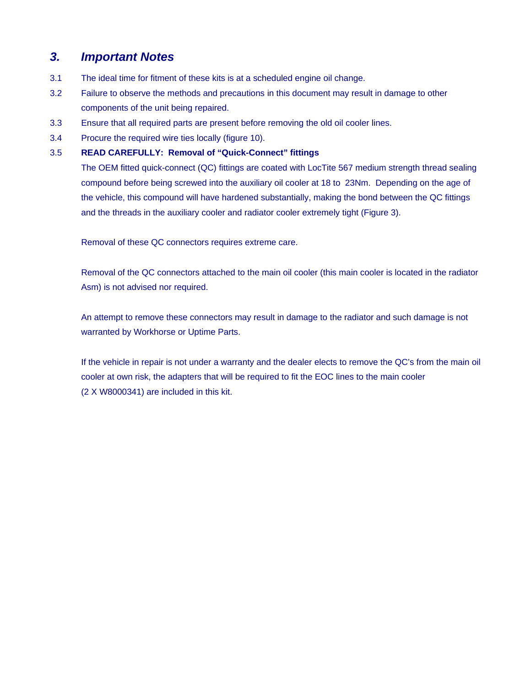# *3. Important Notes*

- 3.1 The ideal time for fitment of these kits is at a scheduled engine oil change.
- 3.2 Failure to observe the methods and precautions in this document may result in damage to other components of the unit being repaired.
- 3.3 Ensure that all required parts are present before removing the old oil cooler lines.
- 3.4 Procure the required wire ties locally (figure 10).

## 3.5 **READ CAREFULLY: Removal of "Quick-Connect" fittings**

The OEM fitted quick-connect (QC) fittings are coated with LocTite 567 medium strength thread sealing compound before being screwed into the auxiliary oil cooler at 18 to 23Nm. Depending on the age of the vehicle, this compound will have hardened substantially, making the bond between the QC fittings and the threads in the auxiliary cooler and radiator cooler extremely tight (Figure 3).

Removal of these QC connectors requires extreme care.

Removal of the QC connectors attached to the main oil cooler (this main cooler is located in the radiator Asm) is not advised nor required.

An attempt to remove these connectors may result in damage to the radiator and such damage is not warranted by Workhorse or Uptime Parts.

If the vehicle in repair is not under a warranty and the dealer elects to remove the QC's from the main oil cooler at own risk, the adapters that will be required to fit the EOC lines to the main cooler (2 X W8000341) are included in this kit.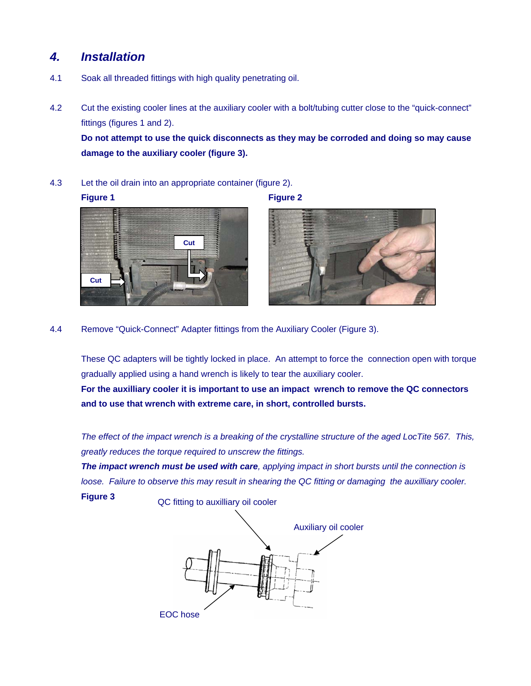# *4. Installation*

- 4.1 Soak all threaded fittings with high quality penetrating oil.
- 4.2 Cut the existing cooler lines at the auxiliary cooler with a bolt/tubing cutter close to the "quick-connect" fittings (figures 1 and 2).

**Do not attempt to use the quick disconnects as they may be corroded and doing so may cause damage to the auxiliary cooler (figure 3).** 

4.3 Let the oil drain into an appropriate container (figure 2).

#### **Figure 1** Figure 2





4.4 Remove "Quick-Connect" Adapter fittings from the Auxiliary Cooler (Figure 3).

These QC adapters will be tightly locked in place. An attempt to force the connection open with torque gradually applied using a hand wrench is likely to tear the auxiliary cooler. **For the auxilliary cooler it is important to use an impact wrench to remove the QC connectors** 

**and to use that wrench with extreme care, in short, controlled bursts.** 

 *The effect of the impact wrench is a breaking of the crystalline structure of the aged LocTite 567. This, greatly reduces the torque required to unscrew the fittings.* 

*The impact wrench must be used with care, applying impact in short bursts until the connection is loose. Failure to observe this may result in shearing the QC fitting or damaging the auxilliary cooler.*  **Figure 3** QC fitting to auxilliary oil cooler

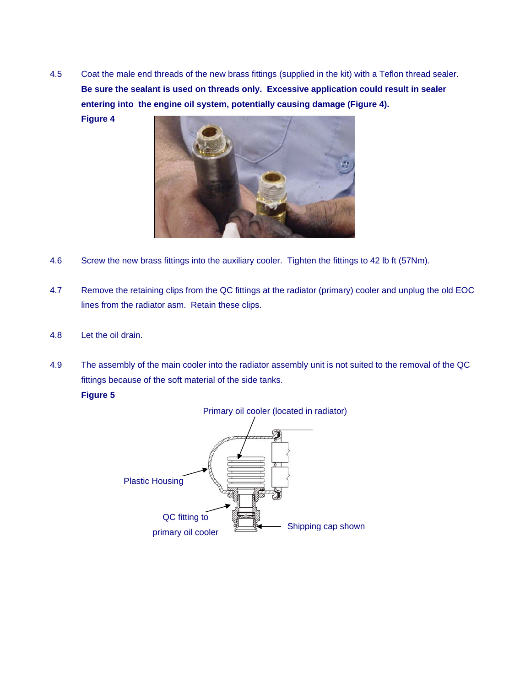4.5 Coat the male end threads of the new brass fittings (supplied in the kit) with a Teflon thread sealer. **Be sure the sealant is used on threads only. Excessive application could result in sealer entering into the engine oil system, potentially causing damage (Figure 4).**

**Figure 4** 



- 4.6 Screw the new brass fittings into the auxiliary cooler. Tighten the fittings to 42 lb ft (57Nm).
- 4.7 Remove the retaining clips from the QC fittings at the radiator (primary) cooler and unplug the old EOC lines from the radiator asm. Retain these clips.
- 4.8 Let the oil drain.

4.9 The assembly of the main cooler into the radiator assembly unit is not suited to the removal of the QC fittings because of the soft material of the side tanks.

## **Figure 5**

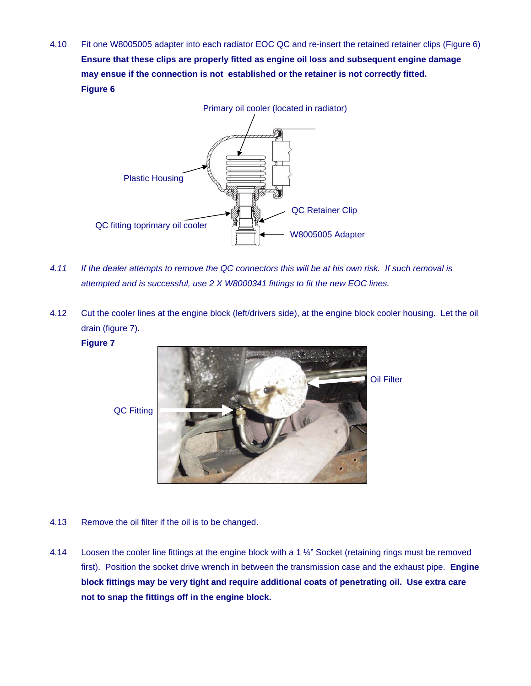4.10 Fit one W8005005 adapter into each radiator EOC QC and re-insert the retained retainer clips (Figure 6) **Ensure that these clips are properly fitted as engine oil loss and subsequent engine damage may ensue if the connection is not established or the retainer is not correctly fitted. Figure 6** 



- *4.11 If the dealer attempts to remove the QC connectors this will be at his own risk. If such removal is attempted and is successful, use 2 X W8000341 fittings to fit the new EOC lines.*
- 4.12 Cut the cooler lines at the engine block (left/drivers side), at the engine block cooler housing. Let the oil drain (figure 7).

### **Figure 7**



QC Fitting

- 4.13 Remove the oil filter if the oil is to be changed.
- 4.14 Loosen the cooler line fittings at the engine block with a 1 ¼" Socket (retaining rings must be removed first). Position the socket drive wrench in between the transmission case and the exhaust pipe. **Engine block fittings may be very tight and require additional coats of penetrating oil. Use extra care not to snap the fittings off in the engine block.**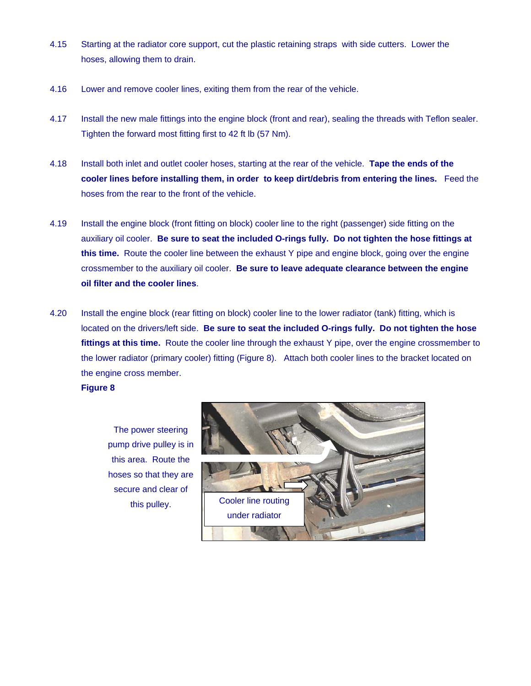- 4.15 Starting at the radiator core support, cut the plastic retaining straps with side cutters. Lower the hoses, allowing them to drain.
- 4.16 Lower and remove cooler lines, exiting them from the rear of the vehicle.
- 4.17 Install the new male fittings into the engine block (front and rear), sealing the threads with Teflon sealer. Tighten the forward most fitting first to 42 ft lb (57 Nm).
- 4.18 Install both inlet and outlet cooler hoses, starting at the rear of the vehicle. **Tape the ends of the cooler lines before installing them, in order to keep dirt/debris from entering the lines.** Feed the hoses from the rear to the front of the vehicle.
- 4.19 Install the engine block (front fitting on block) cooler line to the right (passenger) side fitting on the auxiliary oil cooler. **Be sure to seat the included O-rings fully. Do not tighten the hose fittings at this time.** Route the cooler line between the exhaust Y pipe and engine block, going over the engine crossmember to the auxiliary oil cooler. **Be sure to leave adequate clearance between the engine oil filter and the cooler lines**.
- 4.20 Install the engine block (rear fitting on block) cooler line to the lower radiator (tank) fitting, which is located on the drivers/left side. **Be sure to seat the included O-rings fully. Do not tighten the hose fittings at this time.** Route the cooler line through the exhaust Y pipe, over the engine crossmember to the lower radiator (primary cooler) fitting (Figure 8). Attach both cooler lines to the bracket located on the engine cross member.

## **Figure 8**

The power steering pump drive pulley is in this area. Route the hoses so that they are secure and clear of this pulley.

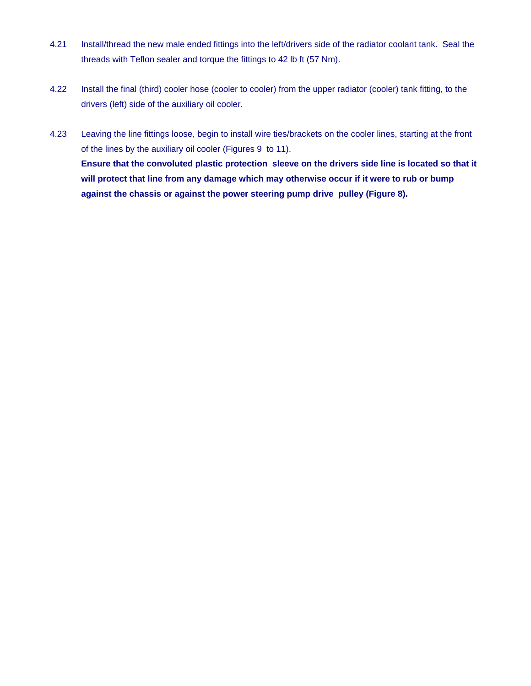- 4.21 Install/thread the new male ended fittings into the left/drivers side of the radiator coolant tank. Seal the threads with Teflon sealer and torque the fittings to 42 lb ft (57 Nm).
- 4.22 Install the final (third) cooler hose (cooler to cooler) from the upper radiator (cooler) tank fitting, to the drivers (left) side of the auxiliary oil cooler.
- 4.23 Leaving the line fittings loose, begin to install wire ties/brackets on the cooler lines, starting at the front of the lines by the auxiliary oil cooler (Figures 9 to 11). **Ensure that the convoluted plastic protection sleeve on the drivers side line is located so that it will protect that line from any damage which may otherwise occur if it were to rub or bump against the chassis or against the power steering pump drive pulley (Figure 8).**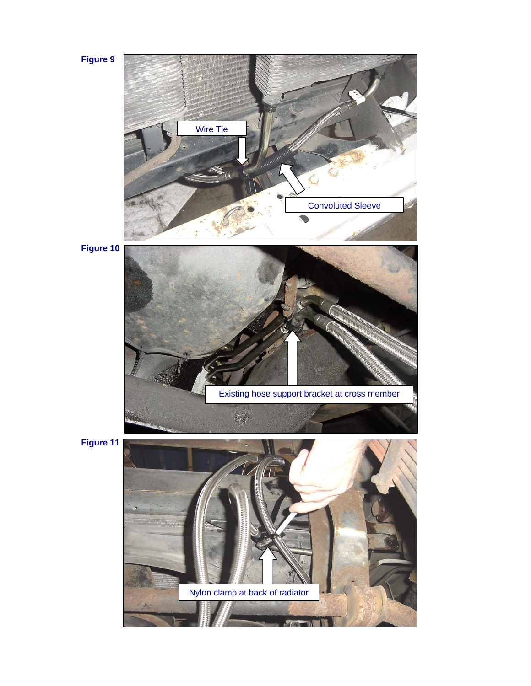